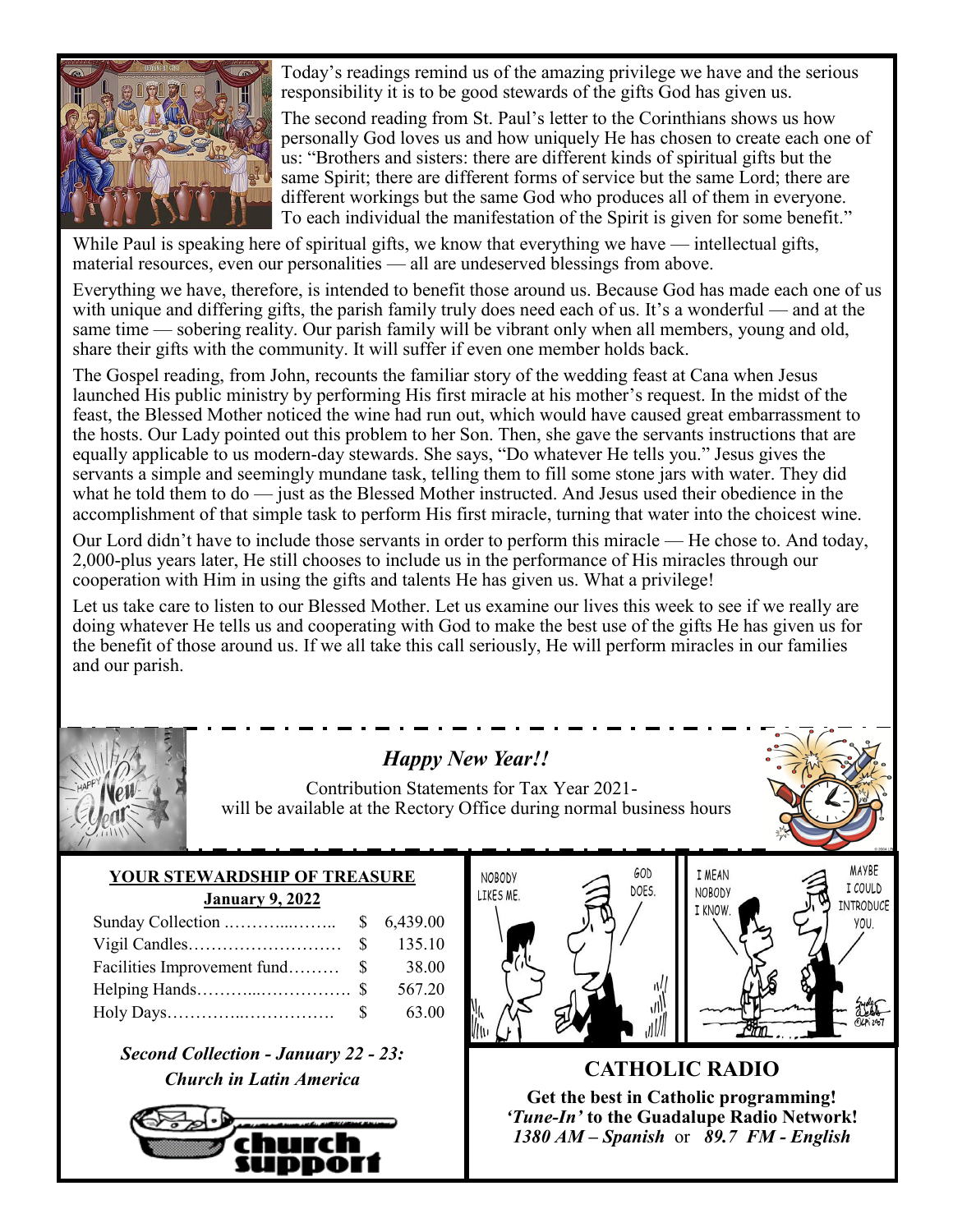

Today's readings remind us of the amazing privilege we have and the serious responsibility it is to be good stewards of the gifts God has given us.

The second reading from St. Paul's letter to the Corinthians shows us how personally God loves us and how uniquely He has chosen to create each one of us: "Brothers and sisters: there are different kinds of spiritual gifts but the same Spirit; there are different forms of service but the same Lord; there are different workings but the same God who produces all of them in everyone. To each individual the manifestation of the Spirit is given for some benefit."

While Paul is speaking here of spiritual gifts, we know that everything we have — intellectual gifts, material resources, even our personalities — all are undeserved blessings from above.

Everything we have, therefore, is intended to benefit those around us. Because God has made each one of us with unique and differing gifts, the parish family truly does need each of us. It's a wonderful — and at the same time — sobering reality. Our parish family will be vibrant only when all members, young and old, share their gifts with the community. It will suffer if even one member holds back.

The Gospel reading, from John, recounts the familiar story of the wedding feast at Cana when Jesus launched His public ministry by performing His first miracle at his mother's request. In the midst of the feast, the Blessed Mother noticed the wine had run out, which would have caused great embarrassment to the hosts. Our Lady pointed out this problem to her Son. Then, she gave the servants instructions that are equally applicable to us modern-day stewards. She says, "Do whatever He tells you." Jesus gives the servants a simple and seemingly mundane task, telling them to fill some stone jars with water. They did what he told them to  $d\sigma$  — just as the Blessed Mother instructed. And Jesus used their obedience in the accomplishment of that simple task to perform His first miracle, turning that water into the choicest wine.

Our Lord didn't have to include those servants in order to perform this miracle — He chose to. And today, 2,000-plus years later, He still chooses to include us in the performance of His miracles through our cooperation with Him in using the gifts and talents He has given us. What a privilege!

Let us take care to listen to our Blessed Mother. Let us examine our lives this week to see if we really are doing whatever He tells us and cooperating with God to make the best use of the gifts He has given us for the benefit of those around us. If we all take this call seriously, He will perform miracles in our families and our parish.



# *Happy New Year!!*

Contribution Statements for Tax Year 2021 will be available at the Rectory Office during normal business hours

## **YOUR STEWARDSHIP OF TREASURE January 9, 2022**

|                                | 135.10 |
|--------------------------------|--------|
| Facilities Improvement fund \$ | 38.00  |
|                                | 567.20 |
|                                | 63.00  |

*Second Collection - January 22 - 23: Church in Latin America* **CATHOLIC RADIO** 







**Get the best in Catholic programming!**  *'Tune-In'* **to the Guadalupe Radio Network!** *1380 AM – Spanish* or *89.7 FM - English*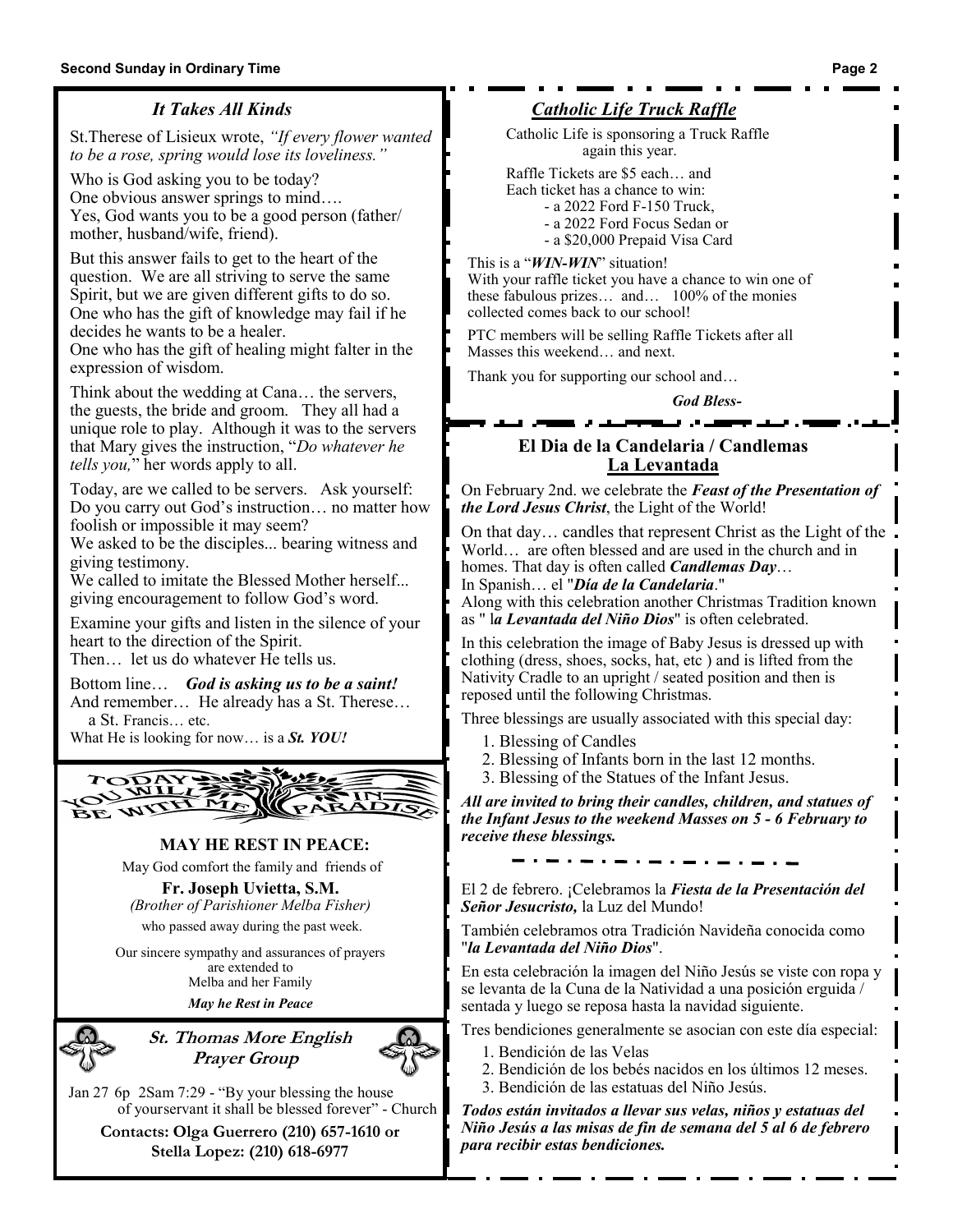## *It Takes All Kinds*

St.Therese of Lisieux wrote, *"If every flower wanted to be a rose, spring would lose its loveliness."*

Who is God asking you to be today? One obvious answer springs to mind…. Yes, God wants you to be a good person (father/ mother, husband/wife, friend).

But this answer fails to get to the heart of the question. We are all striving to serve the same Spirit, but we are given different gifts to do so. One who has the gift of knowledge may fail if he decides he wants to be a healer.

One who has the gift of healing might falter in the expression of wisdom.

Think about the wedding at Cana… the servers, the guests, the bride and groom. They all had a unique role to play. Although it was to the servers that Mary gives the instruction, "*Do whatever he tells you,*" her words apply to all.

Today, are we called to be servers. Ask yourself: Do you carry out God's instruction… no matter how foolish or impossible it may seem?

We asked to be the disciples... bearing witness and giving testimony.

We called to imitate the Blessed Mother herself... giving encouragement to follow God's word.

Examine your gifts and listen in the silence of your heart to the direction of the Spirit.

Then… let us do whatever He tells us.

Bottom line… *God is asking us to be a saint!* And remember… He already has a St. Therese… a St. Francis… etc.

What He is looking for now… is a *St. YOU!*



#### **MAY HE REST IN PEACE:**

May God comfort the family and friends of

**Fr. Joseph Uvietta, S.M.** *(Brother of Parishioner Melba Fisher)* who passed away during the past week.

Our sincere sympathy and assurances of prayers are extended to Melba and her Family *May he Rest in Peace*



**St. Thomas More English Prayer Group**

Jan 27 6p 2Sam 7:29 - "By your blessing the house of yourservant it shall be blessed forever" - Church

**Contacts: Olga Guerrero (210) 657-1610 or Stella Lopez: (210) 618-6977**

## *Catholic Life Truck Raffle*

Catholic Life is sponsoring a Truck Raffle again this year.

Raffle Tickets are \$5 each… and

- Each ticket has a chance to win:
	- a 2022 Ford F-150 Truck,
	- a 2022 Ford Focus Sedan or - a \$20,000 Prepaid Visa Card

This is a "*WIN-WIN*" situation!

With your raffle ticket you have a chance to win one of these fabulous prizes… and… 100% of the monies collected comes back to our school!

PTC members will be selling Raffle Tickets after all Masses this weekend… and next.

Thank you for supporting our school and…

*God Bless-*

فيرون وينبغ

## **El Dia de la Candelaria / Candlemas La Levantada**

On February 2nd. we celebrate the *Feast of the Presentation of the Lord Jesus Christ*, the Light of the World!

On that day… candles that represent Christ as the Light of the World… are often blessed and are used in the church and in homes. That day is often called *Candlemas Day*… In Spanish… el "*Día de la Candelaria*."

Along with this celebration another Christmas Tradition known as " l*a Levantada del Niño Dios*" is often celebrated.

In this celebration the image of Baby Jesus is dressed up with clothing (dress, shoes, socks, hat, etc ) and is lifted from the Nativity Cradle to an upright / seated position and then is reposed until the following Christmas.

Three blessings are usually associated with this special day:

- 1. Blessing of Candles
- 2. Blessing of Infants born in the last 12 months.
- 3. Blessing of the Statues of the Infant Jesus.

*All are invited to bring their candles, children, and statues of the Infant Jesus to the weekend Masses on 5 - 6 February to receive these blessings.*

El 2 de febrero. ¡Celebramos la *Fiesta de la Presentación del Señor Jesucristo,* la Luz del Mundo!

También celebramos otra Tradición Navideña conocida como "*la Levantada del Niño Dios*".

En esta celebración la imagen del Niño Jesús se viste con ropa y se levanta de la Cuna de la Natividad a una posición erguida / sentada y luego se reposa hasta la navidad siguiente.

- Tres bendiciones generalmente se asocian con este día especial:
	- 1. Bendición de las Velas
	- 2. Bendición de los bebés nacidos en los últimos 12 meses.
	- 3. Bendición de las estatuas del Niño Jesús.

*Todos están invitados a llevar sus velas, niños y estatuas del Niño Jesús a las misas de fin de semana del 5 al 6 de febrero para recibir estas bendiciones.*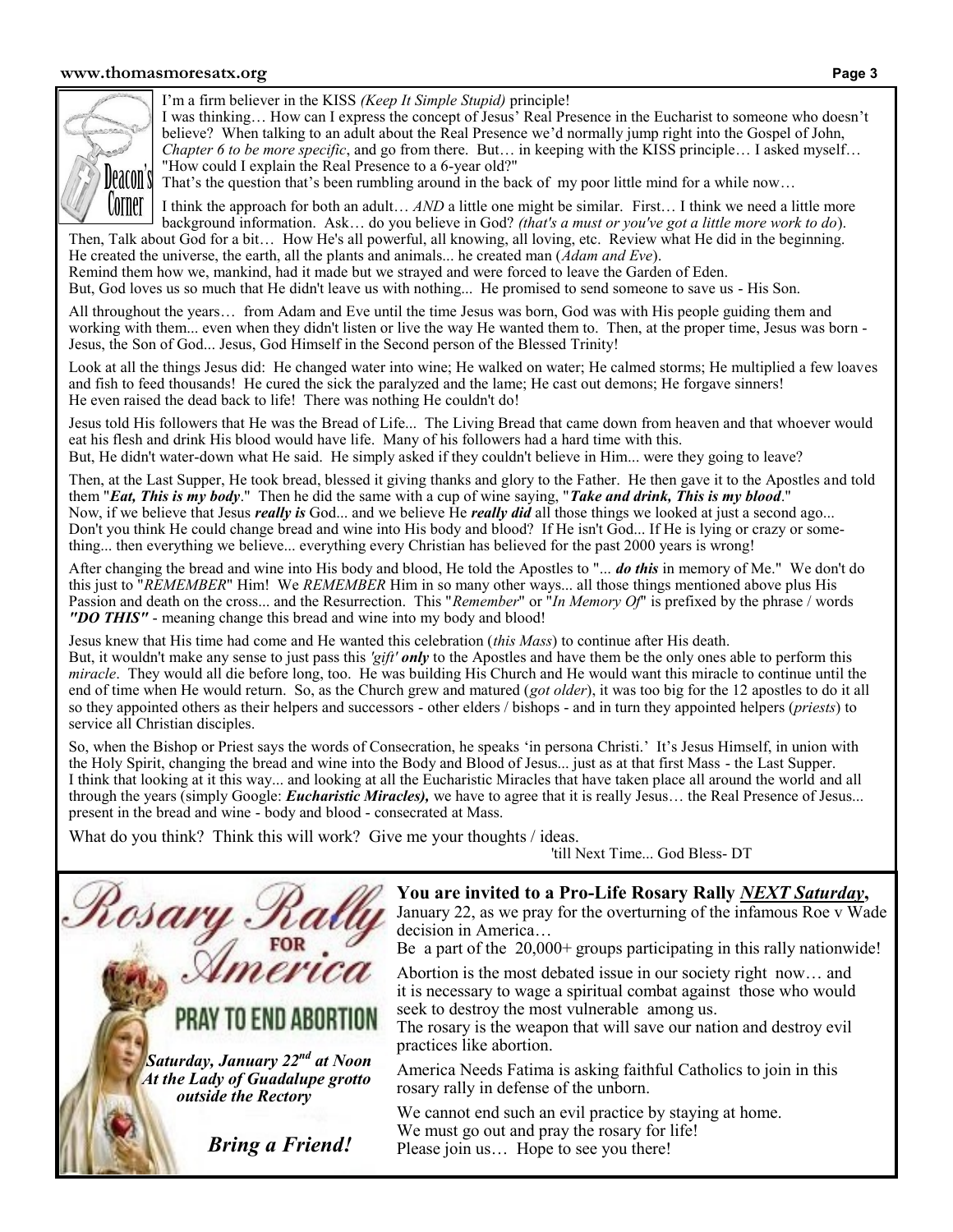#### **www.thomasmoresatx.org Page 3**



I'm a firm believer in the KISS *(Keep It Simple Stupid)* principle!

I was thinking… How can I express the concept of Jesus' Real Presence in the Eucharist to someone who doesn't believe? When talking to an adult about the Real Presence we'd normally jump right into the Gospel of John, *Chapter 6 to be more specific*, and go from there. But… in keeping with the KISS principle… I asked myself… "How could I explain the Real Presence to a 6-year old?"

That's the question that's been rumbling around in the back of my poor little mind for a while now…

I think the approach for both an adult… *AND* a little one might be similar. First… I think we need a little more background information. Ask… do you believe in God? *(that's a must or you've got a little more work to do*). Then, Talk about God for a bit… How He's all powerful, all knowing, all loving, etc. Review what He did in the beginning.

He created the universe, the earth, all the plants and animals... he created man (*Adam and Eve*). Remind them how we, mankind, had it made but we strayed and were forced to leave the Garden of Eden. But, God loves us so much that He didn't leave us with nothing... He promised to send someone to save us - His Son.

All throughout the years… from Adam and Eve until the time Jesus was born, God was with His people guiding them and working with them... even when they didn't listen or live the way He wanted them to. Then, at the proper time, Jesus was born - Jesus, the Son of God... Jesus, God Himself in the Second person of the Blessed Trinity!

Look at all the things Jesus did: He changed water into wine; He walked on water; He calmed storms; He multiplied a few loaves and fish to feed thousands! He cured the sick the paralyzed and the lame; He cast out demons; He forgave sinners! He even raised the dead back to life! There was nothing He couldn't do!

Jesus told His followers that He was the Bread of Life... The Living Bread that came down from heaven and that whoever would eat his flesh and drink His blood would have life. Many of his followers had a hard time with this. But, He didn't water-down what He said. He simply asked if they couldn't believe in Him... were they going to leave?

Then, at the Last Supper, He took bread, blessed it giving thanks and glory to the Father. He then gave it to the Apostles and told them "*Eat, This is my body*." Then he did the same with a cup of wine saying, "*Take and drink, This is my blood*." Now, if we believe that Jesus *really is* God... and we believe He *really did* all those things we looked at just a second ago... Don't you think He could change bread and wine into His body and blood? If He isn't God... If He is lying or crazy or something... then everything we believe... everything every Christian has believed for the past 2000 years is wrong!

After changing the bread and wine into His body and blood, He told the Apostles to "... *do this* in memory of Me." We don't do this just to "*REMEMBER*" Him! We *REMEMBER* Him in so many other ways... all those things mentioned above plus His Passion and death on the cross... and the Resurrection. This "*Remember*" or "*In Memory Of*" is prefixed by the phrase / words *"DO THIS"* - meaning change this bread and wine into my body and blood!

Jesus knew that His time had come and He wanted this celebration (*this Mass*) to continue after His death. But, it wouldn't make any sense to just pass this *'gift' only* to the Apostles and have them be the only ones able to perform this *miracle*. They would all die before long, too. He was building His Church and He would want this miracle to continue until the end of time when He would return. So, as the Church grew and matured (*got older*), it was too big for the 12 apostles to do it all so they appointed others as their helpers and successors - other elders / bishops - and in turn they appointed helpers (*priests*) to service all Christian disciples.

So, when the Bishop or Priest says the words of Consecration, he speaks 'in persona Christi.' It's Jesus Himself, in union with the Holy Spirit, changing the bread and wine into the Body and Blood of Jesus... just as at that first Mass - the Last Supper. I think that looking at it this way... and looking at all the Eucharistic Miracles that have taken place all around the world and all through the years (simply Google: *Eucharistic Miracles),* we have to agree that it is really Jesus… the Real Presence of Jesus... present in the bread and wine - body and blood - consecrated at Mass.

What do you think? Think this will work? Give me your thoughts / ideas.

'till Next Time... God Bless- DT

**You are invited to a Pro-Life Rosary Rally** *NEXT Saturday***,** 

January 22, as we pray for the overturning of the infamous Roe v Wade decision in America…

Be a part of the 20,000+ groups participating in this rally nationwide!

Abortion is the most debated issue in our society right now… and it is necessary to wage a spiritual combat against those who would seek to destroy the most vulnerable among us.

The rosary is the weapon that will save our nation and destroy evil practices like abortion.

America Needs Fatima is asking faithful Catholics to join in this rosary rally in defense of the unborn.

We cannot end such an evil practice by staying at home. We must go out and pray the rosary for life! Please join us... Hope to see you there!

 *Bring a Friend!*

TO END ABORTION

 *Saturday, January 22nd at Noon At the Lady of Guadalupe grotto outside the Rectory*